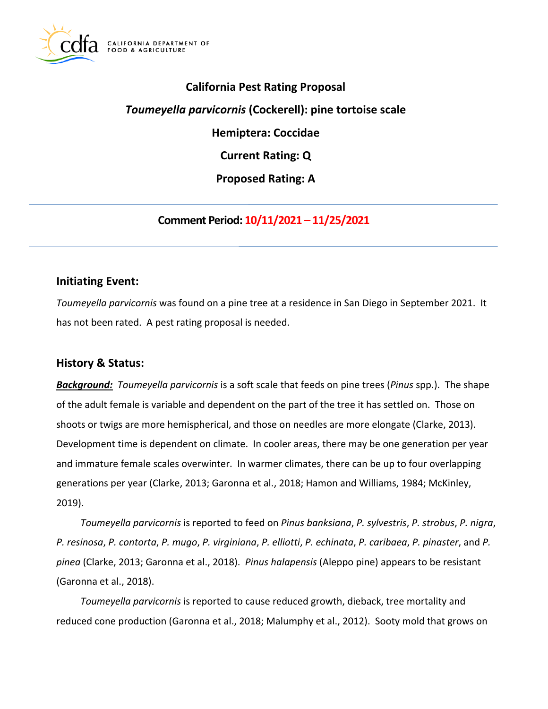

# **California Pest Rating Proposal**

# *Toumeyella parvicornis* **(Cockerell): pine tortoise scale**

**Hemiptera: Coccidae** 

**Current Rating: Q** 

**Proposed Rating: A** 

**Comment Period: 10/11/2021 – 11/25/2021** 

### **Initiating Event:**

*Toumeyella parvicornis* was found on a pine tree at a residence in San Diego in September 2021. It has not been rated. A pest rating proposal is needed.

## **History & Status:**

*Background: Toumeyella parvicornis* is a soft scale that feeds on pine trees (*Pinus* spp.). The shape of the adult female is variable and dependent on the part of the tree it has settled on. Those on shoots or twigs are more hemispherical, and those on needles are more elongate (Clarke, 2013). Development time is dependent on climate. In cooler areas, there may be one generation per year and immature female scales overwinter. In warmer climates, there can be up to four overlapping generations per year (Clarke, 2013; Garonna et al., 2018; Hamon and Williams, 1984; McKinley, 2019).

*Toumeyella parvicornis* is reported to feed on *Pinus banksiana*, *P. sylvestris*, *P. strobus*, *P. nigra*, *P. resinosa*, *P. contorta*, *P. mugo*, *P. virginiana*, *P. elliotti*, *P. echinata*, *P. caribaea*, *P. pinaster*, and *P. pinea* (Clarke, 2013; Garonna et al., 2018). *Pinus halapensis* (Aleppo pine) appears to be resistant (Garonna et al., 2018).

*Toumeyella parvicornis* is reported to cause reduced growth, dieback, tree mortality and reduced cone production (Garonna et al., 2018; Malumphy et al., 2012). Sooty mold that grows on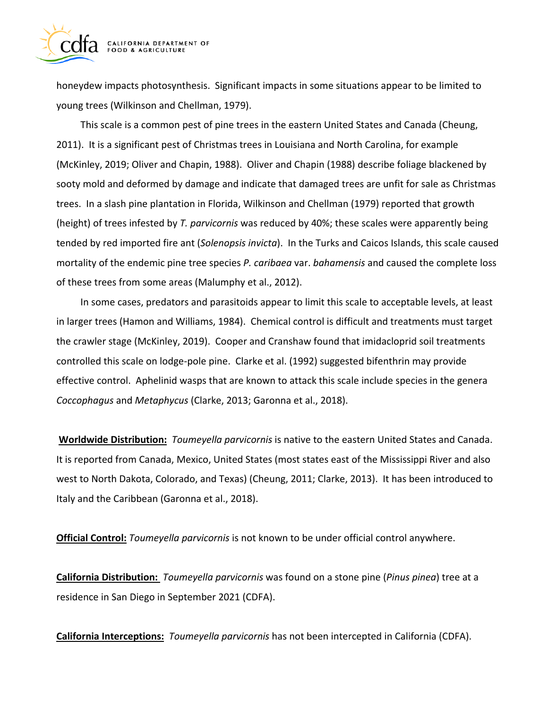

honeydew impacts photosynthesis. Significant impacts in some situations appear to be limited to young trees (Wilkinson and Chellman, 1979).

This scale is a common pest of pine trees in the eastern United States and Canada (Cheung, 2011). It is a significant pest of Christmas trees in Louisiana and North Carolina, for example (McKinley, 2019; Oliver and Chapin, 1988). Oliver and Chapin (1988) describe foliage blackened by sooty mold and deformed by damage and indicate that damaged trees are unfit for sale as Christmas trees. In a slash pine plantation in Florida, Wilkinson and Chellman (1979) reported that growth (height) of trees infested by *T. parvicornis* was reduced by 40%; these scales were apparently being tended by red imported fire ant (*Solenopsis invicta*). In the Turks and Caicos Islands, this scale caused mortality of the endemic pine tree species *P. caribaea* var. *bahamensis* and caused the complete loss of these trees from some areas (Malumphy et al., 2012).

In some cases, predators and parasitoids appear to limit this scale to acceptable levels, at least in larger trees (Hamon and Williams, 1984). Chemical control is difficult and treatments must target the crawler stage (McKinley, 2019). Cooper and Cranshaw found that imidacloprid soil treatments controlled this scale on lodge-pole pine. Clarke et al. (1992) suggested bifenthrin may provide effective control. Aphelinid wasps that are known to attack this scale include species in the genera *Coccophagus* and *Metaphycus* (Clarke, 2013; Garonna et al., 2018).

**Worldwide Distribution:** *Toumeyella parvicornis* is native to the eastern United States and Canada. It is reported from Canada, Mexico, United States (most states east of the Mississippi River and also west to North Dakota, Colorado, and Texas) (Cheung, 2011; Clarke, 2013). It has been introduced to Italy and the Caribbean (Garonna et al., 2018).

**Official Control:** *Toumeyella parvicornis* is not known to be under official control anywhere.

**California Distribution:** *Toumeyella parvicornis* was found on a stone pine (*Pinus pinea*) tree at a residence in San Diego in September 2021 (CDFA).

**California Interceptions:** *Toumeyella parvicornis* has not been intercepted in California (CDFA).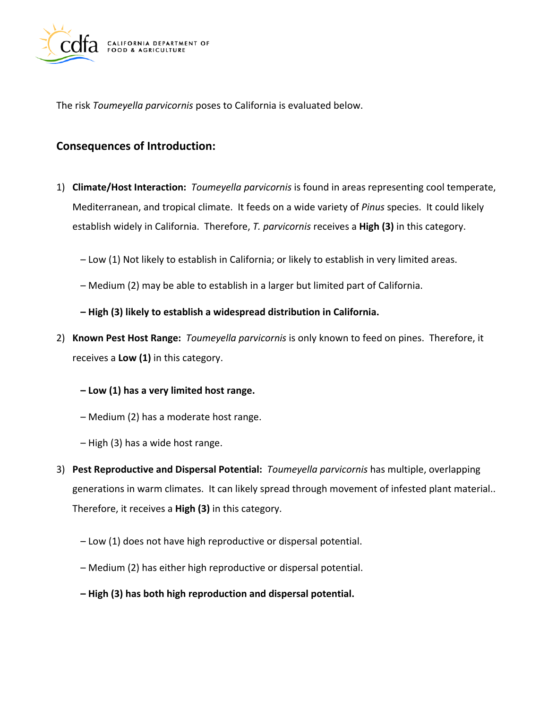

The risk *Toumeyella parvicornis* poses to California is evaluated below.

# **Consequences of Introduction:**

- 1) **Climate/Host Interaction:** *Toumeyella parvicornis* is found in areas representing cool temperate, Mediterranean, and tropical climate. It feeds on a wide variety of *Pinus* species. It could likely establish widely in California. Therefore, *T. parvicornis* receives a **High (3)** in this category.
	- Low (1) Not likely to establish in California; or likely to establish in very limited areas.
	- Medium (2) may be able to establish in a larger but limited part of California.
	- **High (3) likely to establish a widespread distribution in California.**
- 2) **Known Pest Host Range:** *Toumeyella parvicornis* is only known to feed on pines. Therefore, it receives a **Low (1)** in this category.
	- **Low (1) has a very limited host range.**
	- Medium (2) has a moderate host range.
	- High (3) has a wide host range.
- 3) **Pest Reproductive and Dispersal Potential:** *Toumeyella parvicornis* has multiple, overlapping generations in warm climates. It can likely spread through movement of infested plant material.. Therefore, it receives a **High (3)** in this category.
	- Low (1) does not have high reproductive or dispersal potential.
	- Medium (2) has either high reproductive or dispersal potential.
	- **High (3) has both high reproduction and dispersal potential.**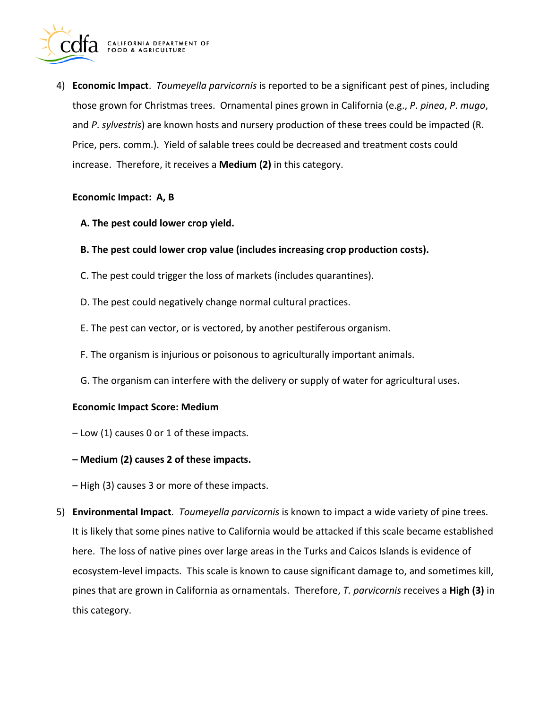

4) **Economic Impact**. *Toumeyella parvicornis* is reported to be a significant pest of pines, including those grown for Christmas trees. Ornamental pines grown in California (e.g., *P*. *pinea*, *P*. *mugo*, and *P*. *sylvestris*) are known hosts and nursery production of these trees could be impacted (R. Price, pers. comm.). Yield of salable trees could be decreased and treatment costs could increase. Therefore, it receives a **Medium (2)** in this category.

#### **Economic Impact: A, B**

- **A. The pest could lower crop yield.**
- **B. The pest could lower crop value (includes increasing crop production costs).**
- C. The pest could trigger the loss of markets (includes quarantines).
- D. The pest could negatively change normal cultural practices.
- E. The pest can vector, or is vectored, by another pestiferous organism.
- F. The organism is injurious or poisonous to agriculturally important animals.
- G. The organism can interfere with the delivery or supply of water for agricultural uses.

#### **Economic Impact Score: Medium**

- Low (1) causes 0 or 1 of these impacts.
- **Medium (2) causes 2 of these impacts.**
- High (3) causes 3 or more of these impacts.
- 5) **Environmental Impact**. *Toumeyella parvicornis* is known to impact a wide variety of pine trees. It is likely that some pines native to California would be attacked if this scale became established here. The loss of native pines over large areas in the Turks and Caicos Islands is evidence of ecosystem-level impacts. This scale is known to cause significant damage to, and sometimes kill, pines that are grown in California as ornamentals. Therefore, *T. parvicornis* receives a **High (3)** in this category.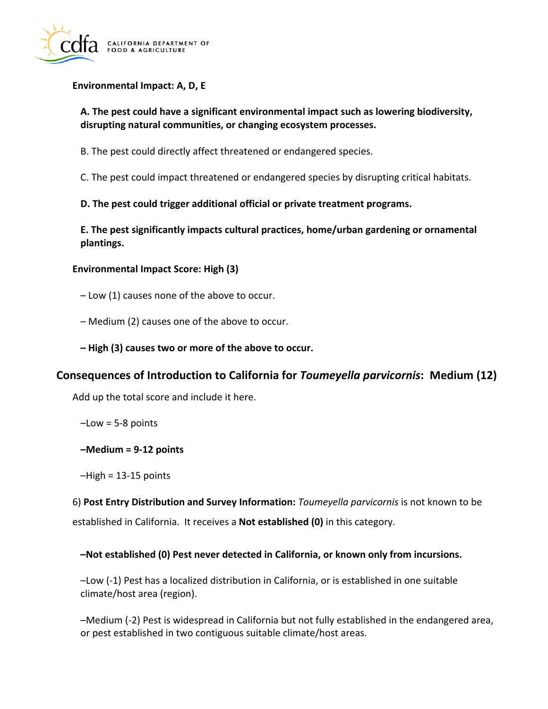

#### **Environmental Impact: A, D, E**

### **A. The pest could have a significant environmental impact such as lowering biodiversity, disrupting natural communities, or changing ecosystem processes.**

B. The pest could directly affect threatened or endangered species.

C. The pest could impact threatened or endangered species by disrupting critical habitats.

**D. The pest could trigger additional official or private treatment programs.** 

**E. The pest significantly impacts cultural practices, home/urban gardening or ornamental plantings.** 

#### **Environmental Impact Score: High (3)**

- Low (1) causes none of the above to occur.
- Medium (2) causes one of the above to occur.
- **High (3) causes two or more of the above to occur.**

## **Consequences of Introduction to California for** *Toumeyella parvicornis***: Medium (12)**

Add up the total score and include it here.

 $-Low = 5-8$  points

**–Medium = 9-12 points** 

–High = 13-15 points

6) **Post Entry Distribution and Survey Information:** *Toumeyella parvicornis* is not known to be established in California. It receives a **Not established (0)** in this category.

#### **–Not established (0) Pest never detected in California, or known only from incursions.**

–Low (-1) Pest has a localized distribution in California, or is established in one suitable climate/host area (region).

–Medium (-2) Pest is widespread in California but not fully established in the endangered area, or pest established in two contiguous suitable climate/host areas.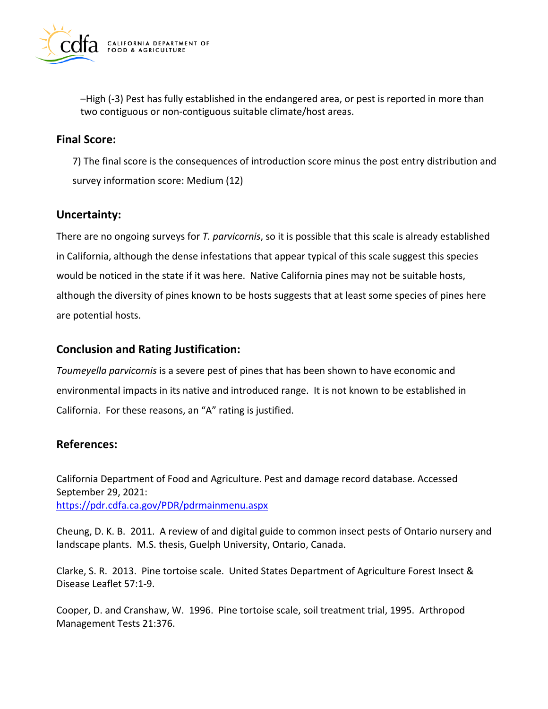

–High (-3) Pest has fully established in the endangered area, or pest is reported in more than two contiguous or non-contiguous suitable climate/host areas.

### **Final Score:**

7) The final score is the consequences of introduction score minus the post entry distribution and survey information score: Medium (12)

## **Uncertainty:**

There are no ongoing surveys for *T. parvicornis*, so it is possible that this scale is already established in California, although the dense infestations that appear typical of this scale suggest this species would be noticed in the state if it was here. Native California pines may not be suitable hosts, although the diversity of pines known to be hosts suggests that at least some species of pines here are potential hosts.

### **Conclusion and Rating Justification:**

*Toumeyella parvicornis* is a severe pest of pines that has been shown to have economic and environmental impacts in its native and introduced range. It is not known to be established in California. For these reasons, an "A" rating is justified.

## **References:**

California Department of Food and Agriculture. Pest and damage record database. Accessed September 29, 2021: <https://pdr.cdfa.ca.gov/PDR/pdrmainmenu.aspx>

Cheung, D. K. B. 2011. A review of and digital guide to common insect pests of Ontario nursery and landscape plants. M.S. thesis, Guelph University, Ontario, Canada.

Clarke, S. R. 2013. Pine tortoise scale. United States Department of Agriculture Forest Insect & Disease Leaflet 57:1-9.

Cooper, D. and Cranshaw, W. 1996. Pine tortoise scale, soil treatment trial, 1995. Arthropod Management Tests 21:376.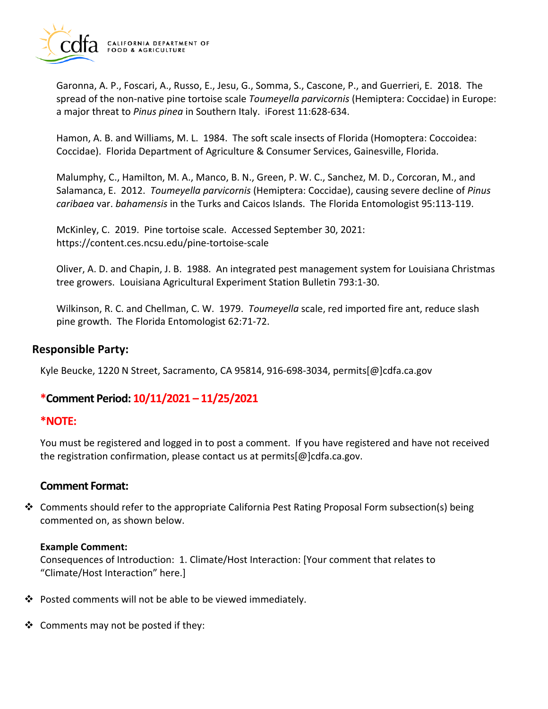

Garonna, A. P., Foscari, A., Russo, E., Jesu, G., Somma, S., Cascone, P., and Guerrieri, E. 2018. The spread of the non-native pine tortoise scale *Toumeyella parvicornis* (Hemiptera: Coccidae) in Europe: a major threat to *Pinus pinea* in Southern Italy. iForest 11:628-634.

Hamon, A. B. and Williams, M. L. 1984. The soft scale insects of Florida (Homoptera: Coccoidea: Coccidae). Florida Department of Agriculture & Consumer Services, Gainesville, Florida.

Malumphy, C., Hamilton, M. A., Manco, B. N., Green, P. W. C., Sanchez, M. D., Corcoran, M., and Salamanca, E. 2012. *Toumeyella parvicornis* (Hemiptera: Coccidae), causing severe decline of *Pinus caribaea* var. *bahamensis* in the Turks and Caicos Islands. The Florida Entomologist 95:113-119.

McKinley, C. 2019. Pine tortoise scale. Accessed September 30, 2021: <https://content.ces.ncsu.edu/pine-tortoise-scale>

Oliver, A. D. and Chapin, J. B. 1988. An integrated pest management system for Louisiana Christmas tree growers. Louisiana Agricultural Experiment Station Bulletin 793:1-30.

Wilkinson, R. C. and Chellman, C. W. 1979. *Toumeyella* scale, red imported fire ant, reduce slash pine growth. The Florida Entomologist 62:71-72.

### **Responsible Party:**

Kyle Beucke, 1220 N Street, Sacramento, CA 95814, 916-698-3034, [permits\[@\]cdfa.ca.gov](https://permits[@]cdfa.ca.gov) 

# **\*Comment Period: 10/11/2021 – 11/25/2021**

### **\*NOTE:**

You must be registered and logged in to post a comment. If you have registered and have not received the registration confirmation, please contact us at [permits\[@\]cdfa.ca.gov](https://permits[@]cdfa.ca.gov).

### **Comment Format:**

 $\clubsuit$  Comments should refer to the appropriate California Pest Rating Proposal Form subsection(s) being commented on, as shown below.

#### **Example Comment:**

Consequences of Introduction: 1. Climate/Host Interaction: [Your comment that relates to "Climate/Host Interaction" here.]

- $\clubsuit$  Posted comments will not be able to be viewed immediately.
- $\triangleleft$  Comments may not be posted if they: